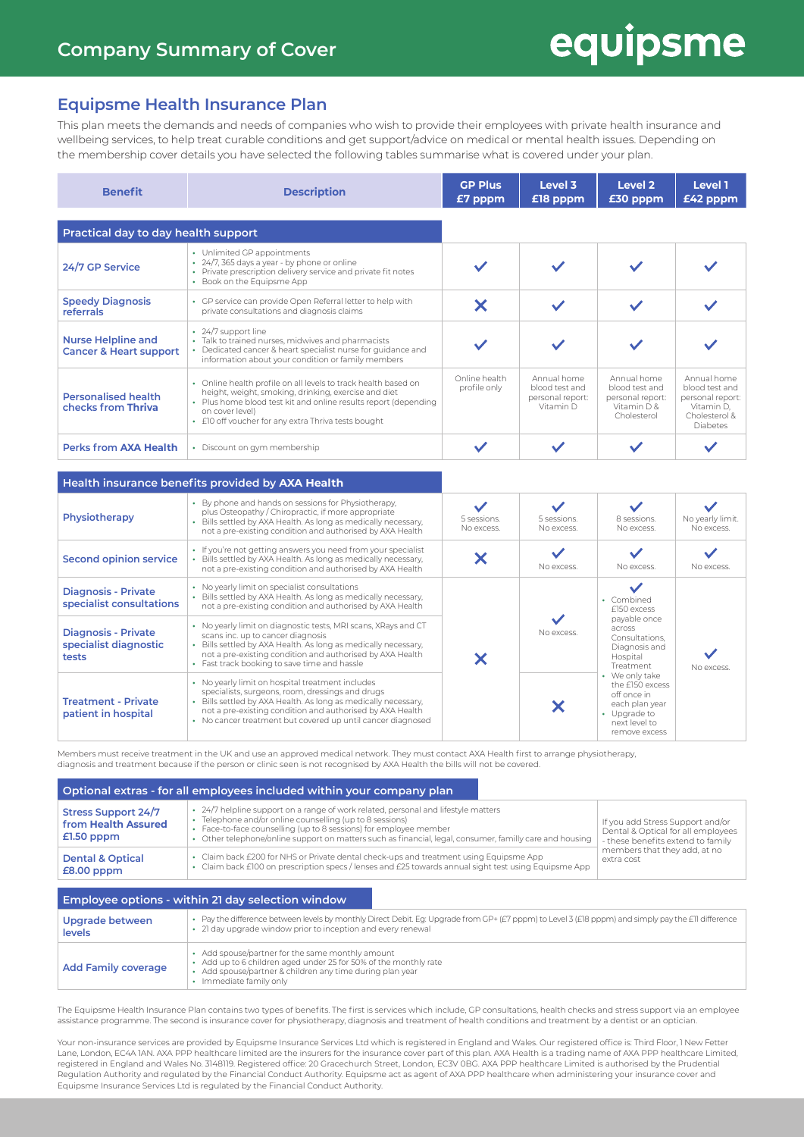## equipsme

### **Equipsme Health Insurance Plan**

This plan meets the demands and needs of companies who wish to provide their employees with private health insurance and wellbeing services, to help treat curable conditions and get support/advice on medical or mental health issues. Depending on the membership cover details you have selected the following tables summarise what is covered under your plan.

| <b>Benefit</b>                                                 | <b>Description</b>                                                                                                                                                                                                                                                  | <b>GP Plus</b><br>£7 pppm     | Level 3<br>£18 pppm                                            | Level 2<br>£30 pppm                                                               | Level 1<br>£42 pppm                                                                                 |
|----------------------------------------------------------------|---------------------------------------------------------------------------------------------------------------------------------------------------------------------------------------------------------------------------------------------------------------------|-------------------------------|----------------------------------------------------------------|-----------------------------------------------------------------------------------|-----------------------------------------------------------------------------------------------------|
| Practical day to day health support                            |                                                                                                                                                                                                                                                                     |                               |                                                                |                                                                                   |                                                                                                     |
| 24/7 GP Service                                                | • Unlimited GP appointments<br>• 24/7, 365 days a year - by phone or online<br>• Private prescription delivery service and private fit notes<br>• Book on the Equipsme App                                                                                          |                               |                                                                |                                                                                   |                                                                                                     |
| <b>Speedy Diagnosis</b><br>referrals                           | • GP service can provide Open Referral letter to help with<br>private consultations and diagnosis claims                                                                                                                                                            |                               |                                                                |                                                                                   |                                                                                                     |
| <b>Nurse Helpline and</b><br><b>Cancer &amp; Heart support</b> | $\cdot$ 24/7 support line<br>• Talk to trained nurses, midwives and pharmacists<br>• Dedicated cancer & heart specialist nurse for quidance and<br>information about your condition or family members                                                               |                               |                                                                |                                                                                   |                                                                                                     |
| <b>Personalised health</b><br>checks from Thriva               | • Online health profile on all levels to track health based on<br>height, weight, smoking, drinking, exercise and diet<br>• Plus home blood test kit and online results report (depending<br>on cover level)<br>• £10 off voucher for any extra Thriva tests bought | Online health<br>profile only | Annual home<br>blood test and<br>personal report:<br>Vitamin D | Annual home<br>blood test and<br>personal report:<br>Vitamin $D$ &<br>Cholesterol | Annual home<br>blood test and<br>personal report:<br>Vitamin D.<br>Cholesterol &<br><b>Diabetes</b> |
| <b>Perks from AXA Health</b>                                   | • Discount on gym membership                                                                                                                                                                                                                                        |                               |                                                                |                                                                                   |                                                                                                     |

#### **Health insurance benefits provided by AXA Health**

| Physiotherapy                                                | • By phone and hands on sessions for Physiotherapy,<br>plus Osteopathy / Chiropractic, if more appropriate<br>• Bills settled by AXA Health. As long as medically necessary,<br>not a pre-existing condition and authorised by AXA Health                                                          | 5 sessions.<br>No excess. | 5 sessions.<br>No excess. | 8 sessions.<br>No excess.                                                                                                                                                                                                               | No yearly limit.<br>No excess |
|--------------------------------------------------------------|----------------------------------------------------------------------------------------------------------------------------------------------------------------------------------------------------------------------------------------------------------------------------------------------------|---------------------------|---------------------------|-----------------------------------------------------------------------------------------------------------------------------------------------------------------------------------------------------------------------------------------|-------------------------------|
| <b>Second opinion service</b>                                | • If you're not getting answers you need from your specialist<br>• Bills settled by AXA Health. As long as medically necessary,<br>not a pre-existing condition and authorised by AXA Health                                                                                                       |                           | No excess.                | No excess.                                                                                                                                                                                                                              | No excess.                    |
| <b>Diagnosis - Private</b><br>specialist consultations       | • No yearly limit on specialist consultations<br>• Bills settled by AXA Health. As long as medically necessary,<br>not a pre-existing condition and authorised by AXA Health                                                                                                                       |                           | No excess.                | • Combined<br>£150 excess<br>payable once<br>across<br>Consultations.<br>Diagnosis and<br>Hospital<br>Treatment<br>• We only take<br>the £150 excess<br>off once in<br>each plan year<br>• Upgrade to<br>next level to<br>remove excess | No excess.                    |
| <b>Diagnosis - Private</b><br>specialist diagnostic<br>tests | • No yearly limit on diagnostic tests, MRI scans, XRays and CT<br>scans inc. up to cancer diagnosis<br>• Bills settled by AXA Health. As long as medically necessary,<br>not a pre-existing condition and authorised by AXA Health<br>• Fast track booking to save time and hassle                 |                           |                           |                                                                                                                                                                                                                                         |                               |
| <b>Treatment - Private</b><br>patient in hospital            | • No yearly limit on hospital treatment includes<br>specialists, surgeons, room, dressings and drugs<br>• Bills settled by AXA Health. As long as medically necessary,<br>not a pre-existing condition and authorised by AXA Health<br>• No cancer treatment but covered up until cancer diagnosed |                           |                           |                                                                                                                                                                                                                                         |                               |

Members must receive treatment in the UK and use an approved medical network. They must contact AXA Health first to arrange physiotherapy, diagnosis and treatment because if the person or clinic seen is not recognised by AXA Health the bills will not be covered.

| Optional extras - for all employees included within your company plan |                                                                                                                                                                                                                                                                                                                                 |                                                                                                             |  |  |
|-----------------------------------------------------------------------|---------------------------------------------------------------------------------------------------------------------------------------------------------------------------------------------------------------------------------------------------------------------------------------------------------------------------------|-------------------------------------------------------------------------------------------------------------|--|--|
| <b>Stress Support 24/7</b><br>from Health Assured<br>$£1.50$ pppm     | • 24/7 helpline support on a range of work related, personal and lifestyle matters<br>• Telephone and/or online counselling (up to 8 sessions)<br>• Face-to-face counselling (up to 8 sessions) for employee member<br>• Other telephone/online support on matters such as financial, legal, consumer, familly care and housing | If you add Stress Support and/or<br>Dental & Optical for all employees<br>- these benefits extend to family |  |  |
| <b>Dental &amp; Optical</b><br>$£8.00$ pppm                           | • Claim back £200 for NHS or Private dental check-ups and treatment using Equipsme App<br>• Claim back £100 on prescription specs / lenses and £25 towards annual sight test using Equipsme App                                                                                                                                 | members that they add, at no<br>extra cost                                                                  |  |  |
|                                                                       | Employee options - within 21 day selection window                                                                                                                                                                                                                                                                               |                                                                                                             |  |  |
| Upgrade between                                                       | • Pay the difference between levels by monthly Direct Debit. Eg: Upgrade from GP+ (£7 pppm) to Level 3 (£18 pppm) and simply pay the £11 difference                                                                                                                                                                             |                                                                                                             |  |  |

| ________________<br>levels | • 21 day upgrade window prior to inception and every renewal                                                                                                                                               |
|----------------------------|------------------------------------------------------------------------------------------------------------------------------------------------------------------------------------------------------------|
| <b>Add Family coverage</b> | • Add spouse/partner for the same monthly amount<br>• Add up to 6 children aged under 25 for 50% of the monthly rate<br>• Add spouse/partner & children any time during plan year<br>Immediate family only |

The Equipsme Health Insurance Plan contains two types of benefits. The first is services which include, GP consultations, health checks and stress support via an employee assistance programme. The second is insurance cover for physiotherapy, diagnosis and treatment of health conditions and treatment by a dentist or an optician.

Your non-insurance services are provided by Equipsme Insurance Services Ltd which is registered in England and Wales. Our registered office is: Third Floor, 1 New Fetter Lane, London, EC4A 1AN. AXA PPP healthcare limited are the insurers for the insurance cover part of this plan. AXA Health is a trading name of AXA PPP healthcare Limited, registered in England and Wales No. 3148119. Registered office: 20 Gracechurch Street, London, EC3V 0BG. AXA PPP healthcare Limited is authorised by the Prudential Regulation Authority and regulated by the Financial Conduct Authority. Equipsme act as agent of AXA PPP healthcare when administering your insurance cover and Equipsme Insurance Services Ltd is regulated by the Financial Conduct Authority.